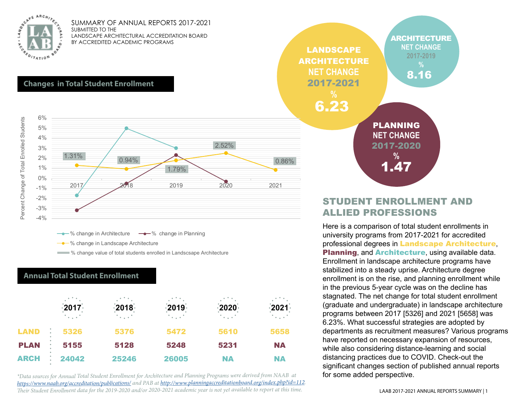

#### **Changes in Total Student Enrollment**



 $\rightarrow$  % change in Architecture  $\rightarrow$  % change in Planning

**-** % change in Landscape Architecture

**W** change value of total students enrolled in Landscsape Architecture

#### **Annual Total Student Enrollment**

|             | $\frac{1}{2}$ 2017 $\frac{1}{2}$<br>$\sim$ $\sim$ $\sim$ $\sim$ | $\cdot$ 2018 $\cdot$<br>$\sim$ $\sim$ $\sim$ $\sim$ | $-2019$<br>$\mathcal{L}_{\text{max}}$ | $-2020$<br>$\sim 10^{-1}$ | $\frac{1}{2}$ 2021 $\frac{1}{2}$<br>$\sim$ $\sim$ $\sim$ |  |  |
|-------------|-----------------------------------------------------------------|-----------------------------------------------------|---------------------------------------|---------------------------|----------------------------------------------------------|--|--|
| <b>LAND</b> | ÷<br>5326                                                       | 5376                                                | 5472                                  | 5610                      | 5658                                                     |  |  |
| <b>PLAN</b> | 5155                                                            | 5128                                                | 5248                                  | 5231                      | <b>NA</b>                                                |  |  |
| <b>ARCH</b> | 24042                                                           | 25246                                               | 26005                                 | <b>NA</b>                 | NA                                                       |  |  |

*\*Data sources for Annual Total Student Enrollment for Architecture and Planning Programs were derived from NAAB at https://www.naab.org/accreditation/publications/ and PAB at http://www.planningaccreditationboard.org/index.php?id=112. Their Student Enrollment data for the 2019-2020 and/or 2020-2021 academic year is not yet available to report at this time.*



### STUDENT ENROLLMENT AND ALLIED PROFESSIONS

Here is a comparison of total student enrollments in university programs from 2017-2021 for accredited professional degrees in **Landscape Architecture**, Planning, and **Architecture**, using available data. Enrollment in landscape architecture programs have stabilized into a steady uprise. Architecture degree enrollment is on the rise, and planning enrollment while in the previous 5-year cycle was on the decline has stagnated. The net change for total student enrollment (graduate and undergraduate) in landscape architecture programs between 2017 [5326] and 2021 [5658] was 6.23%. What successful strategies are adopted by departments as recruitment measures? Various programs have reported on necessary expansion of resources, while also considering distance-learning and social distancing practices due to COVID. Check-out the significant changes section of published annual reports for some added perspective.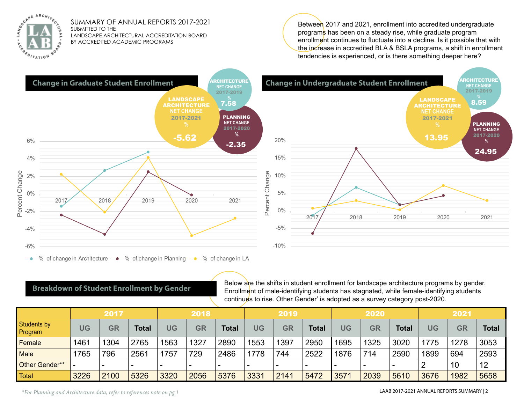

Between 2017 and 2021, enrollment into accredited undergraduate programs has been on a steady rise, while graduate program enrollment continues to fluctuate into a decline. Is it possible that with the increase in accredited BLA & BSLA programs, a shift in enrollment tendencies is experienced, or is there something deeper here?



#### **Breakdown of Student Enrollment by Gender**

Below are the shifts in student enrollment for landscape architecture programs by gender. Enrollment of male-identifying students has stagnated, while female-identifying students continues to rise. Other Gender' is adopted as a survey category post-2020.

|                               | 2017      |                          |                          | 2018 |           |              | 2019 |           |              | 2020 |           |              | 2021      |           |              |
|-------------------------------|-----------|--------------------------|--------------------------|------|-----------|--------------|------|-----------|--------------|------|-----------|--------------|-----------|-----------|--------------|
| <b>Students by</b><br>Program | <b>JG</b> | <b>GR</b>                | <b>Total</b>             | UG   | <b>GR</b> | <b>Total</b> | UG   | <b>GR</b> | <b>Total</b> | UG   | <b>GR</b> | <b>Total</b> | <b>UG</b> | <b>GR</b> | <b>Total</b> |
| Female                        | 1461      | 1304                     | 2765                     | 1563 | 1327      | 2890         | 1553 | 1397      | 2950         | 1695 | 1325      | 3020         | 1775      | 1278      | 3053         |
| Male                          | 765       | 796                      | 2561                     | 1757 | 729       | 2486         | 1778 | 744       | 2522         | 1876 | 714       | 2590         | 1899      | 694       | 2593         |
| Other Gender**                |           | $\overline{\phantom{0}}$ | $\overline{\phantom{0}}$ |      | -         |              |      |           | -            | $\,$ |           | $\,$         |           | 10        | 12           |
| <b>Total</b>                  | 3226      | 2100                     | 5326                     | 3320 | 2056      | 5376         | 3331 | 2141      | 5472         | 3571 | 2039      | 5610         | 3676      | 1982      | 5658         |

*\*For Planning and Architecture data, refer to references note on pg.1*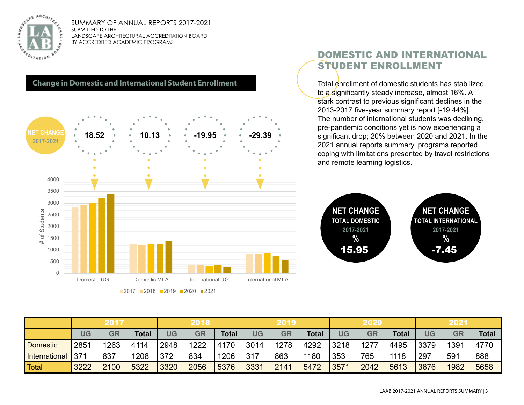



## DOMESTIC AND INTERNATIONAL STUDENT ENROLLMENT

Total enrollment of domestic students has stabilized to a significantly steady increase, almost 16%. A stark contrast to previous significant declines in the 2013-2017 five-year summary report [-19.44%]. The number of international students was declining, pre-pandemic conditions yet is now experiencing a significant drop; 20% between 2020 and 2021. In the 2021 annual reports summary, programs reported coping with limitations presented by travel restrictions and remote learning logistics.



|                 | 2017 |      |       | 2018      |           |              | 2019      |           |              | 2020 |           |              | 2021      |           |              |
|-----------------|------|------|-------|-----------|-----------|--------------|-----------|-----------|--------------|------|-----------|--------------|-----------|-----------|--------------|
|                 | UG   | GR   | Total | <b>JG</b> | <b>GR</b> | <b>Total</b> | <b>UG</b> | <b>GR</b> | <b>Total</b> | UG   | <b>GR</b> | <b>Total</b> | <b>UG</b> | <b>GR</b> | <b>Total</b> |
| <b>Domestic</b> | 2851 | 1263 | 4114  | 2948      | 1222      | 4170         | 3014      | 1278      | 4292         | 3218 | 1277      | 4495         | 3379      | 1391      | 4770         |
| International   | 371  | 837  | 1208  | 372       | 834       | 1206         | 317       | 863       | 1180         | 353  | 765       | 1118         | 297       | 591       | 888          |
| Total           | 3222 | 2100 | 5322  | 3320      | 2056      | 5376         | 3331      | 2141      | 5472         | 3571 | 2042      | 5613         | 3676      | 1982      | 5658         |